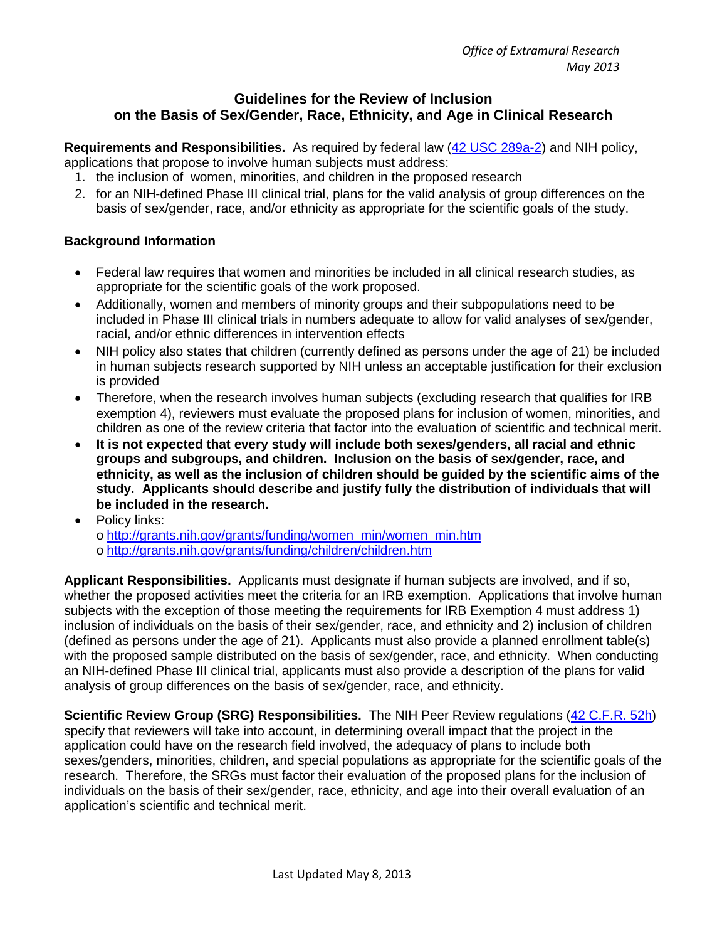# **Guidelines for the Review of Inclusion on the Basis of Sex/Gender, Race, Ethnicity, and Age in Clinical Research**

**Requirements and Responsibilities.** As required by federal law [\(42 USC 289a-2\)](http://www.gpo.gov/fdsys/pkg/USCODE-2011-title42/pdf/USCODE-2011-title42-chap6A-subchapIII-partH-sec289a-2.pdf) and NIH policy, applications that propose to involve human subjects must address:

- 1. the inclusion of women, minorities, and children in the proposed research
- 2. for an NIH-defined Phase III clinical trial, plans for the valid analysis of group differences on the basis of sex/gender, race, and/or ethnicity as appropriate for the scientific goals of the study.

# **Background Information**

- Federal law requires that women and minorities be included in all clinical research studies, as appropriate for the scientific goals of the work proposed.
- Additionally, women and members of minority groups and their subpopulations need to be included in Phase III clinical trials in numbers adequate to allow for valid analyses of sex/gender, racial, and/or ethnic differences in intervention effects
- NIH policy also states that children (currently defined as persons under the age of 21) be included in human subjects research supported by NIH unless an acceptable justification for their exclusion is provided
- Therefore, when the research involves human subjects (excluding research that qualifies for IRB exemption 4), reviewers must evaluate the proposed plans for inclusion of women, minorities, and children as one of the review criteria that factor into the evaluation of scientific and technical merit.
- **It is not expected that every study will include both sexes/genders, all racial and ethnic groups and subgroups, and children. Inclusion on the basis of sex/gender, race, and ethnicity, as well as the inclusion of children should be guided by the scientific aims of the study. Applicants should describe and justify fully the distribution of individuals that will be included in the research.**
- Policy links:

o [http://grants.nih.gov/grants/funding/women\\_min/women\\_min.htm](http://grants.nih.gov/grants/funding/women_min/women_min.htm) o <http://grants.nih.gov/grants/funding/children/children.htm>

**Applicant Responsibilities.** Applicants must designate if human subjects are involved, and if so, whether the proposed activities meet the criteria for an IRB exemption. Applications that involve human subjects with the exception of those meeting the requirements for IRB Exemption 4 must address 1) inclusion of individuals on the basis of their sex/gender, race, and ethnicity and 2) inclusion of children (defined as persons under the age of 21). Applicants must also provide a planned enrollment table(s) with the proposed sample distributed on the basis of sex/gender, race, and ethnicity. When conducting an NIH-defined Phase III clinical trial, applicants must also provide a description of the plans for valid analysis of group differences on the basis of sex/gender, race, and ethnicity.

**Scientific Review Group (SRG) Responsibilities.** The NIH Peer Review regulations [\(42 C.F.R. 52h\)](http://www.ecfr.gov/cgi/t/text/text-idx?c=ecfr&SID=3c2aaf94e4671e8a933b88d6d217439e&rgn=div5&view=text&node=42:1.0.1.4.35&idno=42) specify that reviewers will take into account, in determining overall impact that the project in the application could have on the research field involved, the adequacy of plans to include both sexes/genders, minorities, children, and special populations as appropriate for the scientific goals of the research. Therefore, the SRGs must factor their evaluation of the proposed plans for the inclusion of individuals on the basis of their sex/gender, race, ethnicity, and age into their overall evaluation of an application's scientific and technical merit.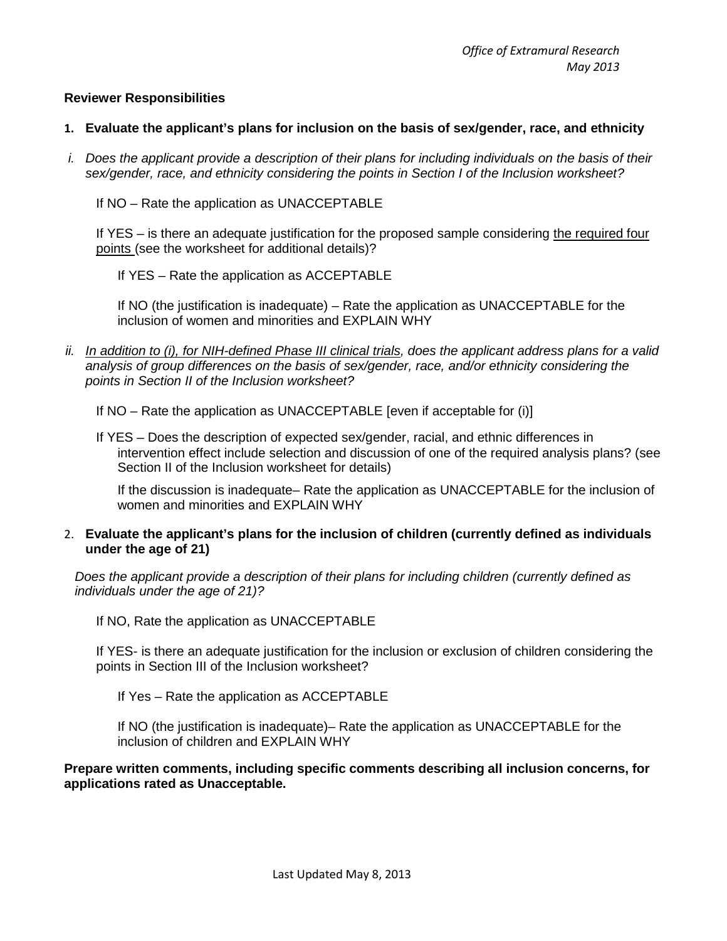### **Reviewer Responsibilities**

#### **1. Evaluate the applicant's plans for inclusion on the basis of sex/gender, race, and ethnicity**

*i. Does the applicant provide a description of their plans for including individuals on the basis of their sex/gender, race, and ethnicity considering the points in Section I of the Inclusion worksheet?*

If NO – Rate the application as UNACCEPTABLE

If YES – is there an adequate justification for the proposed sample considering the required four points (see the worksheet for additional details)?

If YES – Rate the application as ACCEPTABLE

If NO (the justification is inadequate) – Rate the application as UNACCEPTABLE for the inclusion of women and minorities and EXPLAIN WHY

*ii. In addition to (i), for NIH-defined Phase III clinical trials, does the applicant address plans for a valid analysis of group differences on the basis of sex/gender, race, and/or ethnicity considering the points in Section II of the Inclusion worksheet?*

If NO – Rate the application as UNACCEPTABLE [even if acceptable for (i)]

If YES – Does the description of expected sex/gender, racial, and ethnic differences in intervention effect include selection and discussion of one of the required analysis plans? (see Section II of the Inclusion worksheet for details)

If the discussion is inadequate– Rate the application as UNACCEPTABLE for the inclusion of women and minorities and EXPLAIN WHY

### 2. **Evaluate the applicant's plans for the inclusion of children (currently defined as individuals under the age of 21)**

*Does the applicant provide a description of their plans for including children (currently defined as individuals under the age of 21)?*

If NO, Rate the application as UNACCEPTABLE

If YES- is there an adequate justification for the inclusion or exclusion of children considering the points in Section III of the Inclusion worksheet?

If Yes – Rate the application as ACCEPTABLE

If NO (the justification is inadequate)– Rate the application as UNACCEPTABLE for the inclusion of children and EXPLAIN WHY

**Prepare written comments, including specific comments describing all inclusion concerns, for applications rated as Unacceptable.**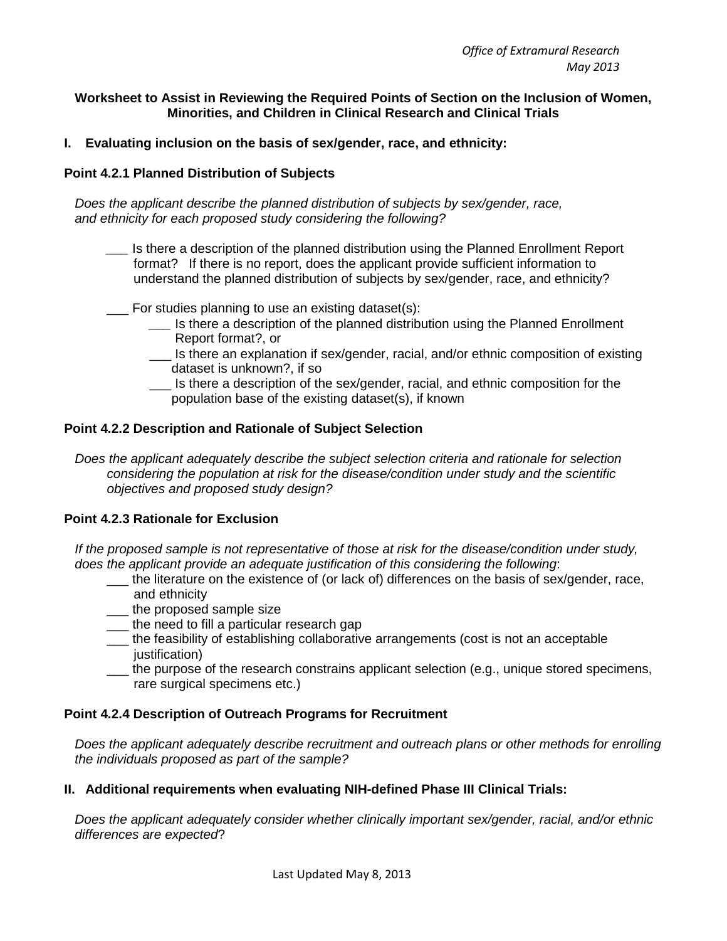### **Worksheet to Assist in Reviewing the Required Points of Section on the Inclusion of Women, Minorities, and Children in Clinical Research and Clinical Trials**

**I. Evaluating inclusion on the basis of sex/gender, race, and ethnicity:**

### **Point 4.2.1 Planned Distribution of Subjects**

*Does the applicant describe the planned distribution of subjects by sex/gender, race, and ethnicity for each proposed study considering the following?*

Is there a description of the planned distribution using the Planned Enrollment Report format? If there is no report, does the applicant provide sufficient information to understand the planned distribution of subjects by sex/gender, race, and ethnicity?

For studies planning to use an existing dataset(s):

- *\_\_\_* Is there a description of the planned distribution using the Planned Enrollment Report format?, or
- Is there an explanation if sex/gender, racial, and/or ethnic composition of existing dataset is unknown?, if so
- \_\_\_ Is there a description of the sex/gender, racial, and ethnic composition for the population base of the existing dataset(s), if known

### **Point 4.2.2 Description and Rationale of Subject Selection**

*Does the applicant adequately describe the subject selection criteria and rationale for selection considering the population at risk for the disease/condition under study and the scientific objectives and proposed study design?*

#### **Point 4.2.3 Rationale for Exclusion**

*If the proposed sample is not representative of those at risk for the disease/condition under study, does the applicant provide an adequate justification of this considering the following*:

- \_\_\_ the literature on the existence of (or lack of) differences on the basis of sex/gender, race, and ethnicity
- \_\_\_ the proposed sample size
- \_\_\_ the need to fill a particular research gap
- \_\_\_ the feasibility of establishing collaborative arrangements (cost is not an acceptable justification)
- \_\_\_ the purpose of the research constrains applicant selection (e.g., unique stored specimens, rare surgical specimens etc.)

#### **Point 4.2.4 Description of Outreach Programs for Recruitment**

*Does the applicant adequately describe recruitment and outreach plans or other methods for enrolling the individuals proposed as part of the sample?*

# **II. Additional requirements when evaluating NIH-defined Phase III Clinical Trials:**

*Does the applicant adequately consider whether clinically important sex/gender, racial, and/or ethnic differences are expected*?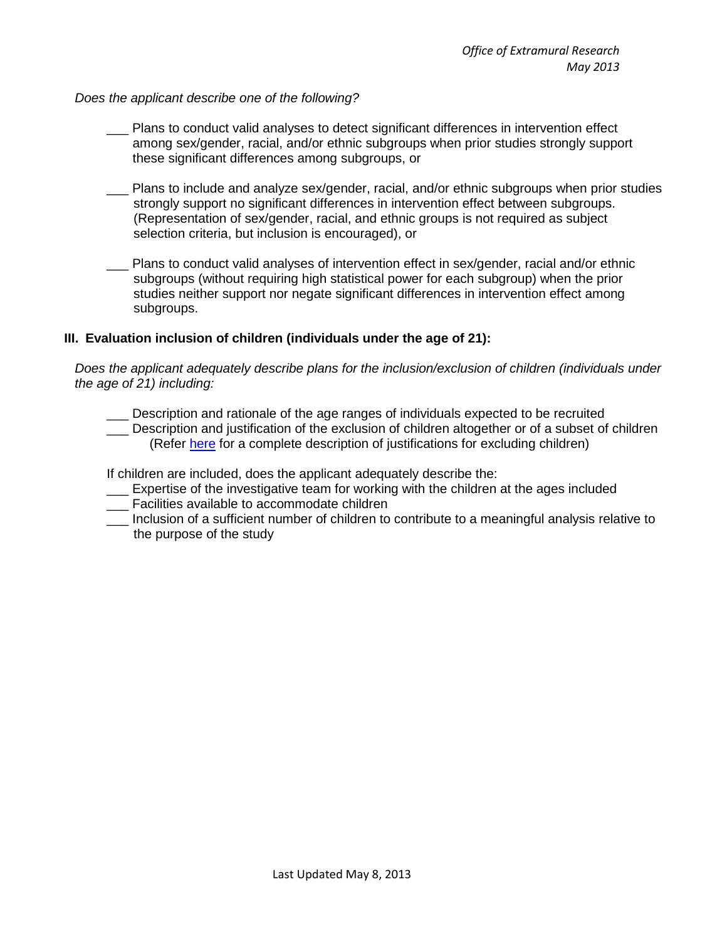### *Does the applicant describe one of the following?*

- \_\_\_ Plans to conduct valid analyses to detect significant differences in intervention effect among sex/gender, racial, and/or ethnic subgroups when prior studies strongly support these significant differences among subgroups, or
- Plans to include and analyze sex/gender, racial, and/or ethnic subgroups when prior studies strongly support no significant differences in intervention effect between subgroups. (Representation of sex/gender, racial, and ethnic groups is not required as subject selection criteria, but inclusion is encouraged), or
- Plans to conduct valid analyses of intervention effect in sex/gender, racial and/or ethnic subgroups (without requiring high statistical power for each subgroup) when the prior studies neither support nor negate significant differences in intervention effect among subgroups.

# **III. Evaluation inclusion of children (individuals under the age of 21):**

*Does the applicant adequately describe plans for the inclusion/exclusion of children (individuals under the age of 21) including:*

- Description and rationale of the age ranges of individuals expected to be recruited
- \_\_\_ Description and justification of the exclusion of children altogether or of a subset of children (Refer [here](http://grants.nih.gov/grants/guide/notice-files/not98-024.html) for a complete description of justifications for excluding children)

If children are included, does the applicant adequately describe the:

- \_\_\_ Expertise of the investigative team for working with the children at the ages included
- \_\_\_ Facilities available to accommodate children
- \_\_\_ Inclusion of a sufficient number of children to contribute to a meaningful analysis relative to the purpose of the study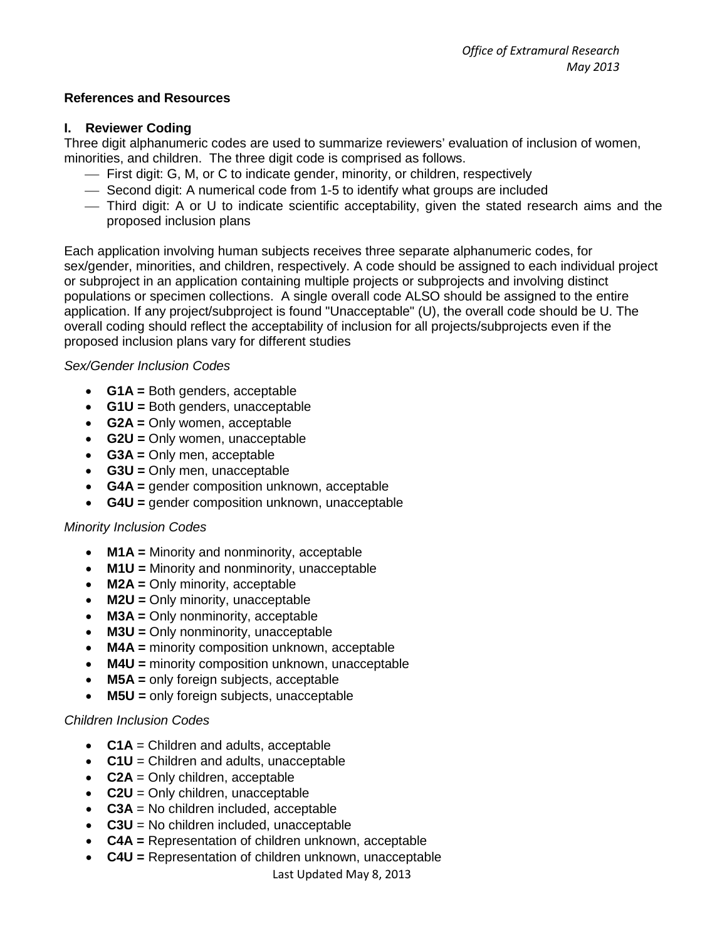# **References and Resources**

# **I. Reviewer Coding**

Three digit alphanumeric codes are used to summarize reviewers' evaluation of inclusion of women, minorities, and children. The three digit code is comprised as follows.

- First digit: G, M, or C to indicate gender, minority, or children, respectively
- Second digit: A numerical code from 1-5 to identify what groups are included
- Third digit: A or U to indicate scientific acceptability, given the stated research aims and the proposed inclusion plans

Each application involving human subjects receives three separate alphanumeric codes, for sex/gender, minorities, and children, respectively. A code should be assigned to each individual project or subproject in an application containing multiple projects or subprojects and involving distinct populations or specimen collections. A single overall code ALSO should be assigned to the entire application. If any project/subproject is found "Unacceptable" (U), the overall code should be U. The overall coding should reflect the acceptability of inclusion for all projects/subprojects even if the proposed inclusion plans vary for different studies

# *Sex/Gender Inclusion Codes*

- **G1A =** Both genders, acceptable
- **G1U =** Both genders, unacceptable
- **G2A =** Only women, acceptable
- **G2U =** Only women, unacceptable
- **G3A =** Only men, acceptable
- **G3U =** Only men, unacceptable
- **G4A =** gender composition unknown, acceptable
- **G4U =** gender composition unknown, unacceptable

# *Minority Inclusion Codes*

- **M1A =** Minority and nonminority, acceptable
- **M1U =** Minority and nonminority, unacceptable
- **M2A** = Only minority, acceptable
- **M2U =** Only minority, unacceptable
- **M3A =** Only nonminority, acceptable
- **M3U =** Only nonminority, unacceptable
- **M4A =** minority composition unknown, acceptable
- **M4U =** minority composition unknown, unacceptable
- **M5A =** only foreign subjects, acceptable
- **M5U =** only foreign subjects, unacceptable

# *Children Inclusion Codes*

- **C1A** = Children and adults, acceptable
- **C1U** = Children and adults, unacceptable
- **C2A** = Only children, acceptable
- **C2U** = Only children, unacceptable
- **C3A** = No children included, acceptable
- **C3U** = No children included, unacceptable
- **C4A =** Representation of children unknown, acceptable
- **C4U =** Representation of children unknown, unacceptable

Last Updated May 8, 2013